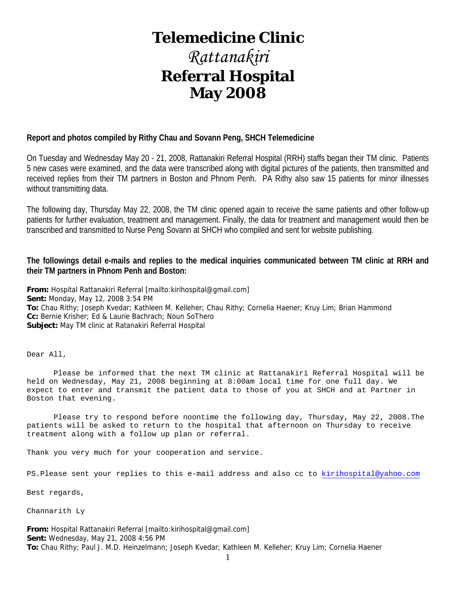# **Telemedicine Clinic**

# *Rattanakiri*  **Referral Hospital May 2008**

#### **Report and photos compiled by Rithy Chau and Sovann Peng, SHCH Telemedicine**

On Tuesday and Wednesday May 20 - 21, 2008, Rattanakiri Referral Hospital (RRH) staffs began their TM clinic. Patients 5 new cases were examined, and the data were transcribed along with digital pictures of the patients, then transmitted and received replies from their TM partners in Boston and Phnom Penh. PA Rithy also saw 15 patients for minor illnesses without transmitting data.

The following day, Thursday May 22, 2008, the TM clinic opened again to receive the same patients and other follow-up patients for further evaluation, treatment and management. Finally, the data for treatment and management would then be transcribed and transmitted to Nurse Peng Sovann at SHCH who compiled and sent for website publishing.

#### **The followings detail e-mails and replies to the medical inquiries communicated between TM clinic at RRH and their TM partners in Phnom Penh and Boston:**

**From:** Hospital Rattanakiri Referral [mailto:kirihospital@gmail.com] **Sent:** Monday, May 12, 2008 3:54 PM **To:** Chau Rithy; Joseph Kvedar; Kathleen M. Kelleher; Chau Rithy; Cornelia Haener; Kruy Lim; Brian Hammond **Cc:** Bernie Krisher; Ed & Laurie Bachrach; Noun SoThero **Subject:** May TM clinic at Ratanakiri Referral Hospital

Dear All,

 Please be informed that the next TM clinic at Rattanakiri Referral Hospital will be held on Wednesday, May 21, 2008 beginning at 8:00am local time for one full day. We expect to enter and transmit the patient data to those of you at SHCH and at Partner in Boston that evening.

 Please try to respond before noontime the following day, Thursday, May 22, 2008.The patients will be asked to return to the hospital that afternoon on Thursday to receive treatment along with a follow up plan or referral.

Thank you very much for your cooperation and service.

PS.Please sent your replies to this e-mail address and also cc to kirihospital@yahoo.com

Best regards,

Channarith Ly

**From:** Hospital Rattanakiri Referral [mailto:kirihospital@gmail.com] **Sent:** Wednesday, May 21, 2008 4:56 PM **To:** Chau Rithy; Paul J. M.D. Heinzelmann; Joseph Kvedar; Kathleen M. Kelleher; Kruy Lim; Cornelia Haener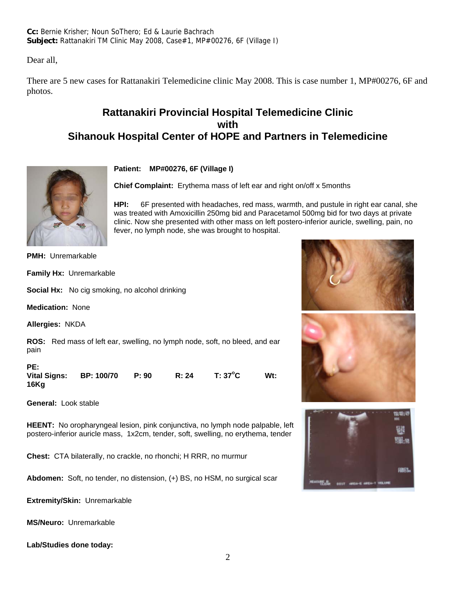**Cc:** Bernie Krisher; Noun SoThero; Ed & Laurie Bachrach **Subject:** Rattanakiri TM Clinic May 2008, Case#1, MP#00276, 6F (Village I)

Dear all,

There are 5 new cases for Rattanakiri Telemedicine clinic May 2008. This is case number 1, MP#00276, 6F and photos.

## **Rattanakiri Provincial Hospital Telemedicine Clinic with Sihanouk Hospital Center of HOPE and Partners in Telemedicine**



**Patient: MP#00276, 6F (Village I)**

**Chief Complaint:** Erythema mass of left ear and right on/off x 5months

**HPI:** 6F presented with headaches, red mass, warmth, and pustule in right ear canal, she was treated with Amoxicillin 250mg bid and Paracetamol 500mg bid for two days at private clinic. Now she presented with other mass on left postero-inferior auricle, swelling, pain, no fever, no lymph node, she was brought to hospital.

**PMH:** Unremarkable

**Family Hx:** Unremarkable

**Social Hx:** No cig smoking, no alcohol drinking

**Medication:** None

**Allergies:** NKDA

**ROS:** Red mass of left ear, swelling, no lymph node, soft, no bleed, and ear pain

| PE:<br>Vital Signs: | BP: 100/70 | P: 90 | R: 24 | T: 37°C | Wt: |
|---------------------|------------|-------|-------|---------|-----|
| 16Kg                |            |       |       |         |     |

**General:** Look stable

**HEENT:** No oropharyngeal lesion, pink conjunctiva, no lymph node palpable, left postero-inferior auricle mass, 1x2cm, tender, soft, swelling, no erythema, tender

**Chest:** CTA bilaterally, no crackle, no rhonchi; H RRR, no murmur

**Abdomen:** Soft, no tender, no distension, (+) BS, no HSM, no surgical scar

**Extremity/Skin:** Unremarkable

**MS/Neuro:** Unremarkable

**Lab/Studies done today:** 



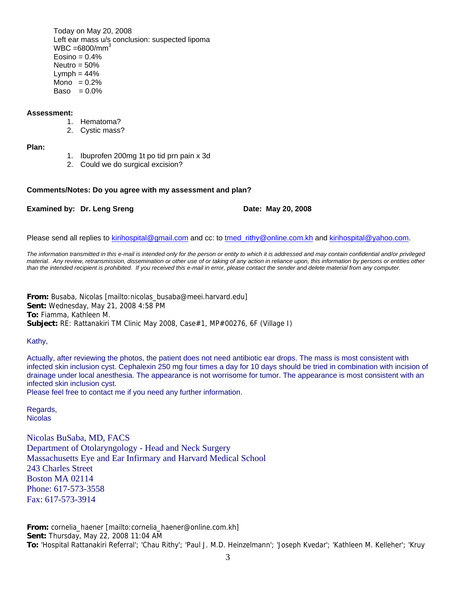Today on May 20, 2008 Left ear mass u/s conclusion: suspected lipoma  $WBC = 6800/mm<sup>3</sup>$  $Eosino = 0.4%$ Neutro  $= 50%$  $Lymph = 44%$ Mono  $= 0.2%$ Baso  $= 0.0\%$ 

#### **Assessment:**

- 1. Hematoma?
- 2. Cystic mass?

**Plan:**

- 1. Ibuprofen 200mg 1t po tid prn pain x 3d
- 2. Could we do surgical excision?

#### **Comments/Notes: Do you agree with my assessment and plan?**

#### **Examined by: Dr. Leng Sreng Date: May 20, 2008**

Please send all replies to kirihospital@gmail.com and cc: to tmed rithy@online.com.kh and kirihospital@yahoo.com.

*The information transmitted in this e-mail is intended only for the person or entity to which it is addressed and may contain confidential and/or privileged material. Any review, retransmission, dissemination or other use of or taking of any action in reliance upon, this information by persons or entities other than the intended recipient is prohibited. If you received this e-mail in error, please contact the sender and delete material from any computer.*

**From:** Busaba, Nicolas [mailto:nicolas\_busaba@meei.harvard.edu] **Sent:** Wednesday, May 21, 2008 4:58 PM **To:** Fiamma, Kathleen M. **Subject:** RE: Rattanakiri TM Clinic May 2008, Case#1, MP#00276, 6F (Village I)

Kathy,

Actually, after reviewing the photos, the patient does not need antibiotic ear drops. The mass is most consistent with infected skin inclusion cyst. Cephalexin 250 mg four times a day for 10 days should be tried in combination with incision of drainage under local anesthesia. The appearance is not worrisome for tumor. The appearance is most consistent with an infected skin inclusion cyst.

Please feel free to contact me if you need any further information.

Regards, Nicolas

Nicolas BuSaba, MD, FACS Department of Otolaryngology - Head and Neck Surgery Massachusetts Eye and Ear Infirmary and Harvard Medical School 243 Charles Street Boston MA 02114 Phone: 617-573-3558 Fax: 617-573-3914

**From:** cornelia\_haener [mailto:cornelia\_haener@online.com.kh] **Sent:** Thursday, May 22, 2008 11:04 AM **To:** 'Hospital Rattanakiri Referral'; 'Chau Rithy'; 'Paul J. M.D. Heinzelmann'; 'Joseph Kvedar'; 'Kathleen M. Kelleher'; 'Kruy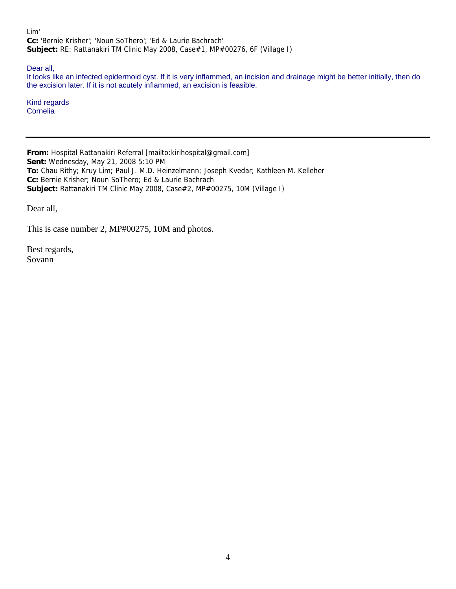Lim' **Cc:** 'Bernie Krisher'; 'Noun SoThero'; 'Ed & Laurie Bachrach' **Subject:** RE: Rattanakiri TM Clinic May 2008, Case#1, MP#00276, 6F (Village I)

Dear all,

It looks like an infected epidermoid cyst. If it is very inflammed, an incision and drainage might be better initially, then do the excision later. If it is not acutely inflammed, an excision is feasible.

Kind regards Cornelia

**From:** Hospital Rattanakiri Referral [mailto:kirihospital@gmail.com] **Sent:** Wednesday, May 21, 2008 5:10 PM **To:** Chau Rithy; Kruy Lim; Paul J. M.D. Heinzelmann; Joseph Kvedar; Kathleen M. Kelleher **Cc:** Bernie Krisher; Noun SoThero; Ed & Laurie Bachrach **Subject:** Rattanakiri TM Clinic May 2008, Case#2, MP#00275, 10M (Village I)

Dear all,

This is case number 2, MP#00275, 10M and photos.

Best regards, Sovann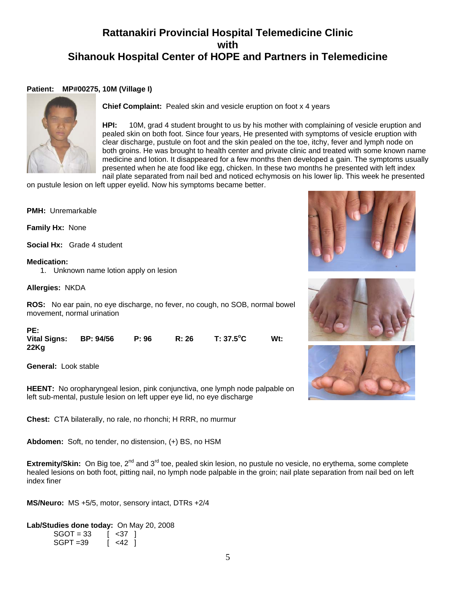## **Rattanakiri Provincial Hospital Telemedicine Clinic with Sihanouk Hospital Center of HOPE and Partners in Telemedicine**

#### **Patient: MP#00275, 10M (Village I)**



**Chief Complaint:** Pealed skin and vesicle eruption on foot x 4 years

**HPI:** 10M, grad 4 student brought to us by his mother with complaining of vesicle eruption and pealed skin on both foot. Since four years, He presented with symptoms of vesicle eruption with clear discharge, pustule on foot and the skin pealed on the toe, itchy, fever and lymph node on both groins. He was brought to health center and private clinic and treated with some known name medicine and lotion. It disappeared for a few months then developed a gain. The symptoms usually presented when he ate food like egg, chicken. In these two months he presented with left index nail plate separated from nail bed and noticed echymosis on his lower lip. This week he presented

on pustule lesion on left upper eyelid. Now his symptoms became better.

**PMH:** Unremarkable

**Family Hx:** None

**Social Hx:** Grade 4 student

#### **Medication:**

1. Unknown name lotion apply on lesion

**Allergies:** NKDA

**ROS:** No ear pain, no eye discharge, no fever, no cough, no SOB, normal bowel movement, normal urination

| PE:                            |       |       |           |        |
|--------------------------------|-------|-------|-----------|--------|
| Vital Signs: BP: 94/56<br>22Kg | P: 96 | R: 26 | T: 37.5°C | $Wt$ : |

**General:** Look stable

**HEENT:** No oropharyngeal lesion, pink conjunctiva, one lymph node palpable on left sub-mental, pustule lesion on left upper eye lid, no eye discharge

**Chest:** CTA bilaterally, no rale, no rhonchi; H RRR, no murmur

**Abdomen:** Soft, no tender, no distension, (+) BS, no HSM

**Extremity/Skin:** On Big toe, 2<sup>nd</sup> and 3<sup>rd</sup> toe, pealed skin lesion, no pustule no vesicle, no erythema, some complete healed lesions on both foot, pitting nail, no lymph node palpable in the groin; nail plate separation from nail bed on left index finer

**MS/Neuro:** MS +5/5, motor, sensory intact, DTRs +2/4

**Lab/Studies done today:** On May 20, 2008

| $SGOT = 33$ | $\vert$ <37 $\vert$ |  |
|-------------|---------------------|--|
| $SGPT = 39$ | $\left[ 42 \right]$ |  |





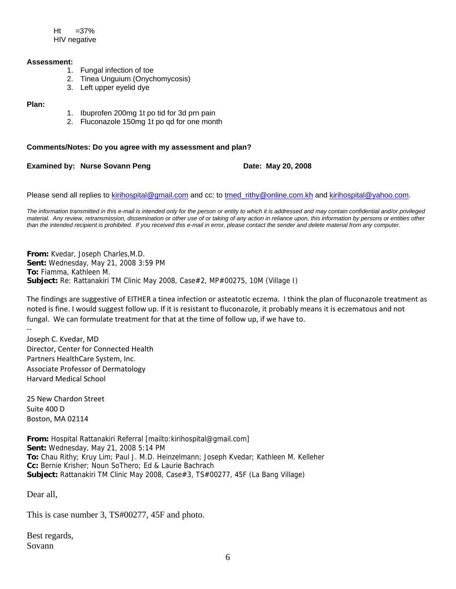$Ht = 37%$ HIV negative

#### **Assessment:**

- 1. Fungal infection of toe
- 2. Tinea Unguium (Onychomycosis)
- 3. Left upper eyelid dye

#### **Plan:**

- 1. Ibuprofen 200mg 1t po tid for 3d prn pain
- 2. Fluconazole 150mg 1t po qd for one month

#### **Comments/Notes: Do you agree with my assessment and plan?**

**Examined by: Nurse Sovann Peng Date: May 20, 2008** 

Please send all replies to kirihospital@gmail.com and cc: to tmed\_rithy@online.com.kh and kirihospital@yahoo.com.

*The information transmitted in this e-mail is intended only for the person or entity to which it is addressed and may contain confidential and/or privileged material. Any review, retransmission, dissemination or other use of or taking of any action in reliance upon, this information by persons or entities other than the intended recipient is prohibited. If you received this e-mail in error, please contact the sender and delete material from any computer.*

**From:** Kvedar, Joseph Charles,M.D. **Sent:** Wednesday, May 21, 2008 3:59 PM **To:** Fiamma, Kathleen M. **Subject:** Re: Rattanakiri TM Clinic May 2008, Case#2, MP#00275, 10M (Village I)

The findings are suggestive of EITHER a tinea infection or asteatotic eczema. I think the plan of fluconazole treatment as noted is fine. I would suggest follow up. If it is resistant to fluconazole, it probably means it is eczematous and not fungal. We can formulate treatment for that at the time of follow up, if we have to.

‐‐ Joseph C. Kvedar, MD Director, Center for Connected Health Partners HealthCare System, Inc. Associate Professor of Dermatology Harvard Medical School

25 New Chardon Street Suite 400 D Boston, MA 02114

**From:** Hospital Rattanakiri Referral [mailto:kirihospital@gmail.com] **Sent:** Wednesday, May 21, 2008 5:14 PM **To:** Chau Rithy; Kruy Lim; Paul J. M.D. Heinzelmann; Joseph Kvedar; Kathleen M. Kelleher **Cc:** Bernie Krisher; Noun SoThero; Ed & Laurie Bachrach **Subject:** Rattanakiri TM Clinic May 2008, Case#3, TS#00277, 45F (La Bang Village)

Dear all,

This is case number 3, TS#00277, 45F and photo.

Best regards, Sovann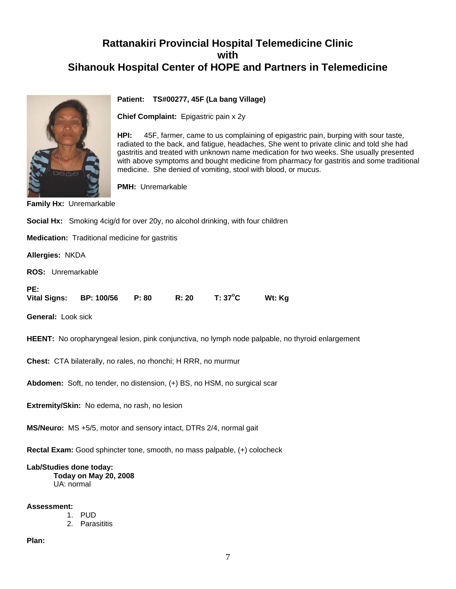## **Rattanakiri Provincial Hospital Telemedicine Clinic with Sihanouk Hospital Center of HOPE and Partners in Telemedicine**



#### **Patient: TS#00277, 45F (La bang Village)**

**Chief Complaint:** Epigastric pain x 2y

**HPI:** 45F, farmer, came to us complaining of epigastric pain, burping with sour taste, radiated to the back, and fatigue, headaches, She went to private clinic and told she had gastritis and treated with unknown name medication for two weeks. She usually presented with above symptoms and bought medicine from pharmacy for gastritis and some traditional medicine. She denied of vomiting, stool with blood, or mucus.

**PMH:** Unremarkable

**Family Hx:** Unremarkable

| Social Hx: Smoking 4cig/d for over 20y, no alcohol drinking, with four children                         |  |  |  |  |  |
|---------------------------------------------------------------------------------------------------------|--|--|--|--|--|
| <b>Medication:</b> Traditional medicine for gastritis                                                   |  |  |  |  |  |
| Allergies: NKDA                                                                                         |  |  |  |  |  |
| <b>ROS:</b> Unremarkable                                                                                |  |  |  |  |  |
| PE:<br>T: 37°C<br>Vital Signs: BP: 100/56 P: 80 R: 20<br>Wt: Kg                                         |  |  |  |  |  |
| <b>General: Look sick</b>                                                                               |  |  |  |  |  |
| <b>HEENT:</b> No oropharyngeal lesion, pink conjunctiva, no lymph node palpable, no thyroid enlargement |  |  |  |  |  |
| <b>Chest:</b> CTA bilaterally, no rales, no rhonchi; H RRR, no murmur                                   |  |  |  |  |  |
| Abdomen: Soft, no tender, no distension, (+) BS, no HSM, no surgical scar                               |  |  |  |  |  |
| Extremity/Skin: No edema, no rash, no lesion                                                            |  |  |  |  |  |
| MS/Neuro: MS +5/5, motor and sensory intact, DTRs 2/4, normal gait                                      |  |  |  |  |  |
| Rectal Exam: Good sphincter tone, smooth, no mass palpable, (+) colocheck                               |  |  |  |  |  |
| I ah/Studies done today.                                                                                |  |  |  |  |  |

**Lab/Studies done today: Today on May 20, 2008**  UA: normal

**Assessment:**

- 1. PUD
- 2. Parasititis

**Plan:**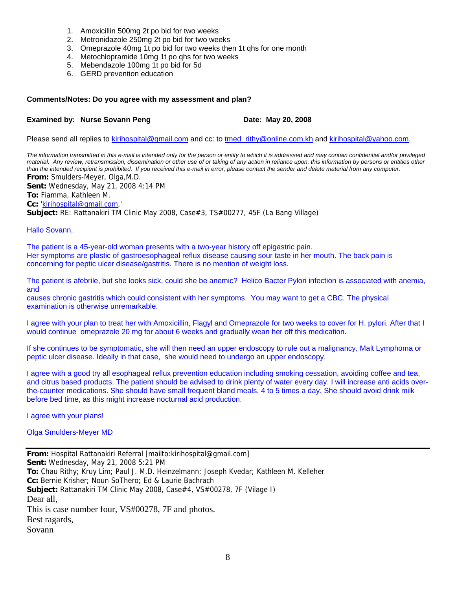- 1. Amoxicillin 500mg 2t po bid for two weeks
- 2. Metronidazole 250mg 2t po bid for two weeks
- 3. Omeprazole 40mg 1t po bid for two weeks then 1t qhs for one month
- 4. Metochlopramide 10mg 1t po qhs for two weeks
- 5. Mebendazole 100mg 1t po bid for 5d
- 6. GERD prevention education

#### **Comments/Notes: Do you agree with my assessment and plan?**

#### **Examined by: Nurse Sovann Peng Date: May 20, 2008**

Please send all replies to kirihospital@gmail.com and cc: to tmed\_rithy@online.com.kh and kirihospital@yahoo.com.

*The information transmitted in this e-mail is intended only for the person or entity to which it is addressed and may contain confidential and/or privileged material. Any review, retransmission, dissemination or other use of or taking of any action in reliance upon, this information by persons or entities other than the intended recipient is prohibited. If you received this e-mail in error, please contact the sender and delete material from any computer.*

**From:** Smulders-Meyer, Olga,M.D.

**Sent:** Wednesday, May 21, 2008 4:14 PM **To:** Fiamma, Kathleen M.

**Cc:** 'kirihospital@gmail.com,'

**Subject:** RE: Rattanakiri TM Clinic May 2008, Case#3, TS#00277, 45F (La Bang Village)

Hallo Sovann,

The patient is a 45-year-old woman presents with a two-year history off epigastric pain. Her symptoms are plastic of gastroesophageal reflux disease causing sour taste in her mouth. The back pain is concerning for peptic ulcer disease/gastritis. There is no mention of weight loss.

The patient is afebrile, but she looks sick, could she be anemic? Helico Bacter Pylori infection is associated with anemia, and

causes chronic gastritis which could consistent with her symptoms. You may want to get a CBC. The physical examination is otherwise unremarkable.

I agree with your plan to treat her with Amoxicillin, Flagyl and Omeprazole for two weeks to cover for H. pylori. After that I would continue omeprazole 20 mg for about 6 weeks and gradually wean her off this medication.

If she continues to be symptomatic, she will then need an upper endoscopy to rule out a malignancy, Malt Lymphoma or peptic ulcer disease. Ideally in that case, she would need to undergo an upper endoscopy.

I agree with a good try all esophageal reflux prevention education including smoking cessation, avoiding coffee and tea, and citrus based products. The patient should be advised to drink plenty of water every day. I will increase anti acids overthe-counter medications. She should have small frequent bland meals, 4 to 5 times a day. She should avoid drink milk before bed time, as this might increase nocturnal acid production.

I agree with your plans!

#### Olga Smulders-Meyer MD

**From:** Hospital Rattanakiri Referral [mailto:kirihospital@gmail.com] **Sent:** Wednesday, May 21, 2008 5:21 PM **To:** Chau Rithy; Kruy Lim; Paul J. M.D. Heinzelmann; Joseph Kvedar; Kathleen M. Kelleher **Cc:** Bernie Krisher; Noun SoThero; Ed & Laurie Bachrach **Subject:** Rattanakiri TM Clinic May 2008, Case#4, VS#00278, 7F (Vilage I) Dear all, This is case number four, VS#00278, 7F and photos. Best ragards, Sovann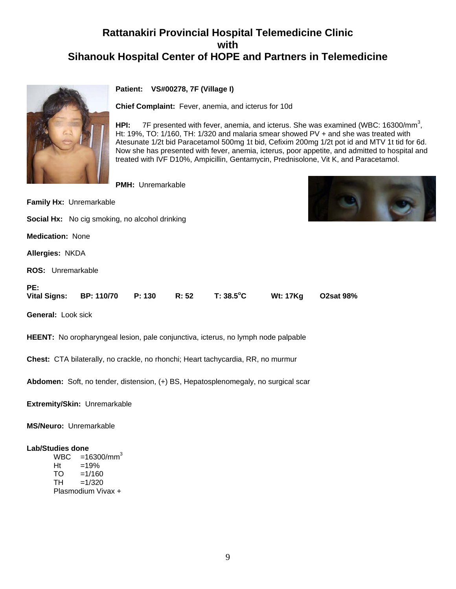## **Rattanakiri Provincial Hospital Telemedicine Clinic with Sihanouk Hospital Center of HOPE and Partners in Telemedicine**



#### **Patient: VS#00278, 7F (Village I)**

**Chief Complaint:** Fever, anemia, and icterus for 10d

HPI: 7F presented with fever, anemia, and icterus. She was examined (WBC: 16300/mm<sup>3</sup>, Ht: 19%, TO: 1/160, TH: 1/320 and malaria smear showed PV + and she was treated with Atesunate 1/2t bid Paracetamol 500mg 1t bid, Cefixim 200mg 1/2t pot id and MTV 1t tid for 6d. Now she has presented with fever, anemia, icterus, poor appetite, and admitted to hospital and treated with IVF D10%, Ampicillin, Gentamycin, Prednisolone, Vit K, and Paracetamol.

**PMH:** Unremarkable

**Family Hx:** Unremarkable

**Social Hx:** No cig smoking, no alcohol drinking

**Medication:** None

**Allergies:** NKDA

**ROS:** Unremarkable

| PE: |                                                |  |                           |  |
|-----|------------------------------------------------|--|---------------------------|--|
|     | Vital Signs: BP: 110/70 P: 130 R: 52 T: 38.5°C |  | <b>Wt: 17Kg O2sat 98%</b> |  |

**General:** Look sick

**HEENT:** No oropharyngeal lesion, pale conjunctiva, icterus, no lymph node palpable

**Chest:** CTA bilaterally, no crackle, no rhonchi; Heart tachycardia, RR, no murmur

**Abdomen:** Soft, no tender, distension, (+) BS, Hepatosplenomegaly, no surgical scar

**Extremity/Skin:** Unremarkable

**MS/Neuro:** Unremarkable

#### **Lab/Studies done**

 $WBC = 16300/mm^3$  $Ht = 19%$ TO =1/160<br>TH =1/320  $=1/320$ Plasmodium Vivax +

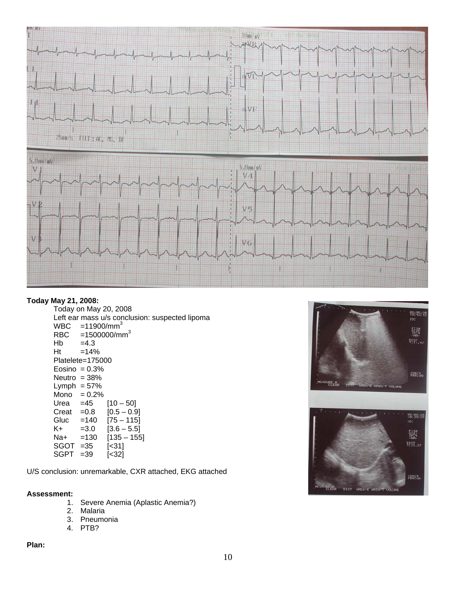

#### **Today May 21, 2008:**

 Today on May 20, 2008 Left ear mass u/s conclusion: suspected lipoma  $WBC = 11900/mm^3$ <br>RBC = 1500000/mr RBC =1500000/mm<sup>3</sup><br>Hb =4.3  $=4.3$  $Ht = 14%$  Platelete=175000 Eosino  $= 0.3%$ Neutro  $= 38%$ Lymph  $= 57\%$  $Mono = 0.2%$ Urea =45 [10 – 50]<br>Creat =0.8 [0.5 – 0.9] Creat  $=0.8$  Gluc =140 [75 – 115]  $K+$  =3.0  $[3.6 - 5.5]$  Na+ =130 [135 – 155] SGOT =35 [<31] SGPT =39 [<32]

U/S conclusion: unremarkable, CXR attached, EKG attached

#### **Assessment:**

- 1. Severe Anemia (Aplastic Anemia?)
- 2. Malaria
- 3. Pneumonia
- 4. PTB?

#### **Plan:**

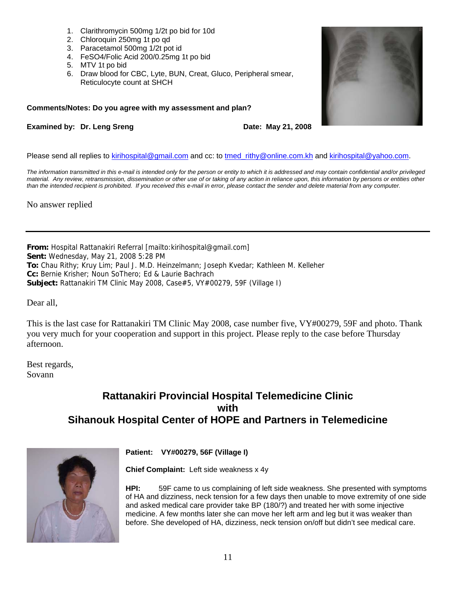- 1. Clarithromycin 500mg 1/2t po bid for 10d
- 2. Chloroquin 250mg 1t po qd
- 3. Paracetamol 500mg 1/2t pot id
- 4. FeSO4/Folic Acid 200/0.25mg 1t po bid
- 5. MTV 1t po bid
- 6. Draw blood for CBC, Lyte, BUN, Creat, Gluco, Peripheral smear, Reticulocyte count at SHCH

#### **Comments/Notes: Do you agree with my assessment and plan?**

#### **Examined by: Dr. Leng Sreng Date: May 21, 2008**

Please send all replies to kirihospital@gmail.com and cc: to tmed rithy@online.com.kh and kirihospital@yahoo.com.

*The information transmitted in this e-mail is intended only for the person or entity to which it is addressed and may contain confidential and/or privileged material. Any review, retransmission, dissemination or other use of or taking of any action in reliance upon, this information by persons or entities other than the intended recipient is prohibited. If you received this e-mail in error, please contact the sender and delete material from any computer.*

No answer replied

**From:** Hospital Rattanakiri Referral [mailto:kirihospital@gmail.com] **Sent:** Wednesday, May 21, 2008 5:28 PM **To:** Chau Rithy; Kruy Lim; Paul J. M.D. Heinzelmann; Joseph Kvedar; Kathleen M. Kelleher **Cc:** Bernie Krisher; Noun SoThero; Ed & Laurie Bachrach **Subject:** Rattanakiri TM Clinic May 2008, Case#5, VY#00279, 59F (Village I)

Dear all,

This is the last case for Rattanakiri TM Clinic May 2008, case number five, VY#00279, 59F and photo. Thank you very much for your cooperation and support in this project. Please reply to the case before Thursday afternoon.

Best regards, Sovann

## **Rattanakiri Provincial Hospital Telemedicine Clinic with Sihanouk Hospital Center of HOPE and Partners in Telemedicine**



**Patient: VY#00279, 56F (Village I)**

**Chief Complaint:** Left side weakness x 4y

**HPI:** 59F came to us complaining of left side weakness. She presented with symptoms of HA and dizziness, neck tension for a few days then unable to move extremity of one side and asked medical care provider take BP (180/?) and treated her with some injective medicine. A few months later she can move her left arm and leg but it was weaker than before. She developed of HA, dizziness, neck tension on/off but didn't see medical care.

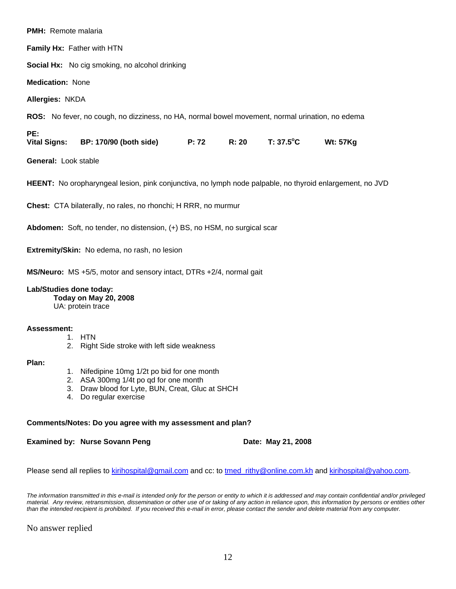| <b>PMH:</b> Remote malaria                                                |                                                                                                                 |  |       |           |                 |
|---------------------------------------------------------------------------|-----------------------------------------------------------------------------------------------------------------|--|-------|-----------|-----------------|
|                                                                           | Family Hx: Father with HTN                                                                                      |  |       |           |                 |
|                                                                           | <b>Social Hx:</b> No cig smoking, no alcohol drinking                                                           |  |       |           |                 |
| <b>Medication: None</b>                                                   |                                                                                                                 |  |       |           |                 |
| Allergies: NKDA                                                           |                                                                                                                 |  |       |           |                 |
|                                                                           | <b>ROS:</b> No fever, no cough, no dizziness, no HA, normal bowel movement, normal urination, no edema          |  |       |           |                 |
| PE:                                                                       | Vital Signs: BP: 170/90 (both side) P: 72                                                                       |  | R: 20 | T: 37.5°C | <b>Wt: 57Kg</b> |
| <b>General: Look stable</b>                                               |                                                                                                                 |  |       |           |                 |
|                                                                           | <b>HEENT:</b> No oropharyngeal lesion, pink conjunctiva, no lymph node palpable, no thyroid enlargement, no JVD |  |       |           |                 |
|                                                                           | Chest: CTA bilaterally, no rales, no rhonchi; H RRR, no murmur                                                  |  |       |           |                 |
| Abdomen: Soft, no tender, no distension, (+) BS, no HSM, no surgical scar |                                                                                                                 |  |       |           |                 |
| Extremity/Skin: No edema, no rash, no lesion                              |                                                                                                                 |  |       |           |                 |
|                                                                           | MS/Neuro: MS +5/5, motor and sensory intact, DTRs +2/4, normal gait                                             |  |       |           |                 |
| Lab/Studies done today:                                                   | Today on May 20, 2008<br>UA: protein trace                                                                      |  |       |           |                 |

#### **Assessment:**

- 1. HTN
- 2. Right Side stroke with left side weakness

#### **Plan:**

- 1. Nifedipine 10mg 1/2t po bid for one month
- 2. ASA 300mg 1/4t po qd for one month
- 3. Draw blood for Lyte, BUN, Creat, Gluc at SHCH
- 4. Do regular exercise

#### **Comments/Notes: Do you agree with my assessment and plan?**

**Examined by: Nurse Sovann Peng Date: May 21, 2008** 

Please send all replies to kirihospital@gmail.com and cc: to tmed\_rithy@online.com.kh and kirihospital@yahoo.com.

*The information transmitted in this e-mail is intended only for the person or entity to which it is addressed and may contain confidential and/or privileged material. Any review, retransmission, dissemination or other use of or taking of any action in reliance upon, this information by persons or entities other than the intended recipient is prohibited. If you received this e-mail in error, please contact the sender and delete material from any computer.*

No answer replied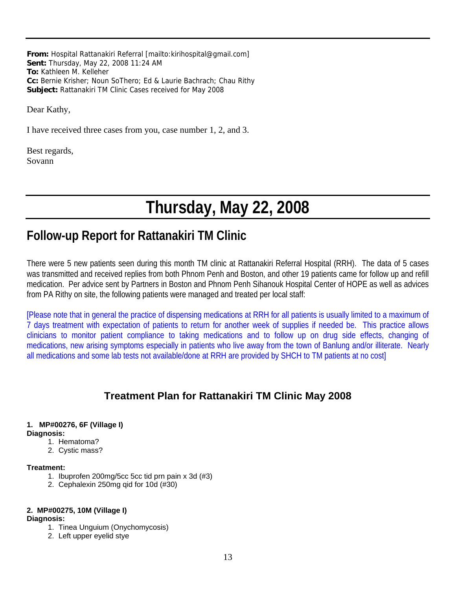**From:** Hospital Rattanakiri Referral [mailto:kirihospital@gmail.com] **Sent:** Thursday, May 22, 2008 11:24 AM **To:** Kathleen M. Kelleher **Cc:** Bernie Krisher; Noun SoThero; Ed & Laurie Bachrach; Chau Rithy **Subject:** Rattanakiri TM Clinic Cases received for May 2008

Dear Kathy,

I have received three cases from you, case number 1, 2, and 3.

Best regards, Sovann

# **Thursday, May 22, 2008**

## **Follow-up Report for Rattanakiri TM Clinic**

There were 5 new patients seen during this month TM clinic at Rattanakiri Referral Hospital (RRH). The data of 5 cases was transmitted and received replies from both Phnom Penh and Boston, and other 19 patients came for follow up and refill medication. Per advice sent by Partners in Boston and Phnom Penh Sihanouk Hospital Center of HOPE as well as advices from PA Rithy on site, the following patients were managed and treated per local staff:

[Please note that in general the practice of dispensing medications at RRH for all patients is usually limited to a maximum of 7 days treatment with expectation of patients to return for another week of supplies if needed be. This practice allows clinicians to monitor patient compliance to taking medications and to follow up on drug side effects, changing of medications, new arising symptoms especially in patients who live away from the town of Banlung and/or illiterate. Nearly all medications and some lab tests not available/done at RRH are provided by SHCH to TM patients at no cost]

## **Treatment Plan for Rattanakiri TM Clinic May 2008**

#### **1. MP#00276, 6F (Village I)**

#### **Diagnosis:**

- 1. Hematoma?
- 2. Cystic mass?

#### **Treatment:**

- 1. Ibuprofen 200mg/5cc 5cc tid prn pain x 3d (#3)
- 2. Cephalexin 250mg qid for 10d (#30)

#### **2. MP#00275, 10M (Village I)**

#### **Diagnosis:**

- 1. Tinea Unguium (Onychomycosis)
- 2. Left upper eyelid stye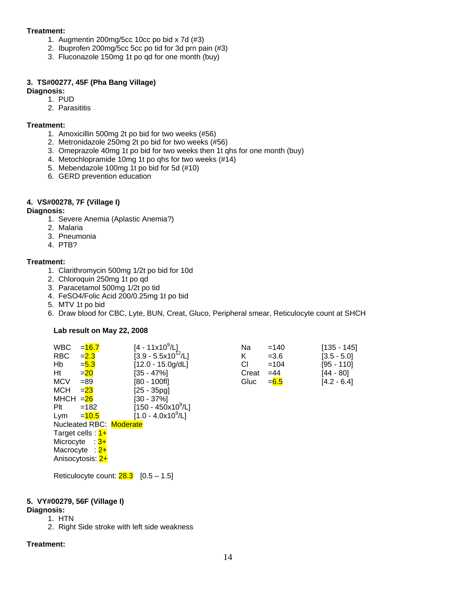#### **Treatment:**

- 1. Augmentin 200mg/5cc 10cc po bid x 7d (#3)
- 2. Ibuprofen 200mg/5cc 5cc po tid for 3d prn pain (#3)
- 3. Fluconazole 150mg 1t po qd for one month (buy)

#### **3. TS#00277, 45F (Pha Bang Village)**

#### **Diagnosis:**

- 1. PUD
- 2. Parasititis

#### **Treatment:**

- 1. Amoxicillin 500mg 2t po bid for two weeks (#56)
- 2. Metronidazole 250mg 2t po bid for two weeks (#56)
- 3. Omeprazole 40mg 1t po bid for two weeks then 1t qhs for one month (buy)
- 4. Metochlopramide 10mg 1t po qhs for two weeks (#14)
- 5. Mebendazole 100mg 1t po bid for 5d (#10)
- 6. GERD prevention education

#### **4. VS#00278, 7F (Village I)**

#### **Diagnosis:**

- 1. Severe Anemia (Aplastic Anemia?)
- 2. Malaria
- 3. Pneumonia
- 4. PTB?

#### **Treatment:**

- 1. Clarithromycin 500mg 1/2t po bid for 10d
- 2. Chloroquin 250mg 1t po qd
- 3. Paracetamol 500mg 1/2t po tid
- 4. FeSO4/Folic Acid 200/0.25mg 1t po bid
- 5. MTV 1t po bid
- 6. Draw blood for CBC, Lyte, BUN, Creat, Gluco, Peripheral smear, Reticulocyte count at SHCH

**Lab result on May 22, 2008** 

| <b>WBC</b><br>RBC    | $= 16.7$<br>$= 2.3$     | [4 - 11x10 <sup>9</sup> /L]<br>$[3.9 - 5.5x10^{12}/L]$ | Na<br>K | $=140$<br>$= 3.6$ | [135 - 145]<br>$[3.5 - 5.0]$ |
|----------------------|-------------------------|--------------------------------------------------------|---------|-------------------|------------------------------|
| Hb                   | $= 5.3$                 | [12.0 - 15.0g/dL]                                      | СI      | $=104$            | [95 - 110]                   |
| Ht                   | $=20$                   | $[35 - 47\%]$                                          | Creat   | $=44$             | [44 - 80]                    |
| <b>MCV</b>           | $= 89$                  | [80 - 100fl]                                           | Gluc    | $= 6.5$           | $[4.2 - 6.4]$                |
| <b>MCH</b>           | $= 23$                  | [25 - 35pg]                                            |         |                   |                              |
| MHCH $=\frac{26}{3}$ |                         | [30 - 37%]                                             |         |                   |                              |
| Plt                  | $=182$                  | [150 - 450x10 <sup>9</sup> /L]                         |         |                   |                              |
| Lym                  | $= 10.5$                | [1.0 - 4.0x10 <sup>9</sup> /L]                         |         |                   |                              |
|                      | Nucleated RBC: Moderate |                                                        |         |                   |                              |
|                      | Target cells : 1+       |                                                        |         |                   |                              |
|                      | Microcyte : 3+          |                                                        |         |                   |                              |
|                      | Macrocyte : 2+          |                                                        |         |                   |                              |
|                      | Anisocytosis: 2+        |                                                        |         |                   |                              |
|                      |                         |                                                        |         |                   |                              |

Reticulocyte count:  $28.3$  [0.5 – 1.5]

#### **5. VY#00279, 56F (Village I)**

#### **Diagnosis:**

- 1. HTN
- 2. Right Side stroke with left side weakness

#### **Treatment:**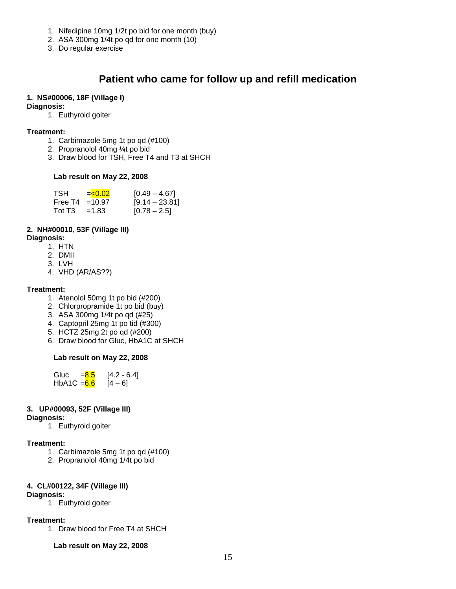- 1. Nifedipine 10mg 1/2t po bid for one month (buy)
- 2. ASA 300mg 1/4t po qd for one month (10)
- 3. Do regular exercise

## **Patient who came for follow up and refill medication**

#### **1. NS#00006, 18F (Village I)**

#### **Diagnosis:**

1. Euthyroid goiter

#### **Treatment:**

- 1. Carbimazole 5mg 1t po qd (#100)
- 2. Propranolol 40mg ¼t po bid
- 3. Draw blood for TSH, Free T4 and T3 at SHCH

#### **Lab result on May 22, 2008**

| TSH               | $= 0.02$ | $[0.49 - 4.67]$  |
|-------------------|----------|------------------|
| Free T4 = $10.97$ |          | $[9.14 - 23.81]$ |
| Tot T3            | $=1.83$  | $[0.78 - 2.5]$   |

#### **2. NH#00010, 53F (Village III)**

#### **Diagnosis:**

- 1. HTN
- 2. DMII
- 3. LVH
- 4. VHD (AR/AS??)

#### **Treatment:**

- 1. Atenolol 50mg 1t po bid (#200)
- 2. Chlorpropramide 1t po bid (buy)
- 3. ASA 300mg 1/4t po qd (#25)
- 4. Captopril 25mg 1t po tid (#300)
- 5. HCTZ 25mg 2t po qd (#200)
- 6. Draw blood for Gluc, HbA1C at SHCH

#### **Lab result on May 22, 2008**

Gluc  $= 8.5$  [4.2 - 6.4] HbA1C =  $6.6$  [4 – 6]

#### **3. UP#00093, 52F (Village III)**

#### **Diagnosis:**

1. Euthyroid goiter

#### **Treatment:**

- 1. Carbimazole 5mg 1t po qd (#100)
- 2. Propranolol 40mg 1/4t po bid

#### **4. CL#00122, 34F (Village III) Diagnosis:**

1. Euthyroid goiter

#### **Treatment:**

1. Draw blood for Free T4 at SHCH

**Lab result on May 22, 2008**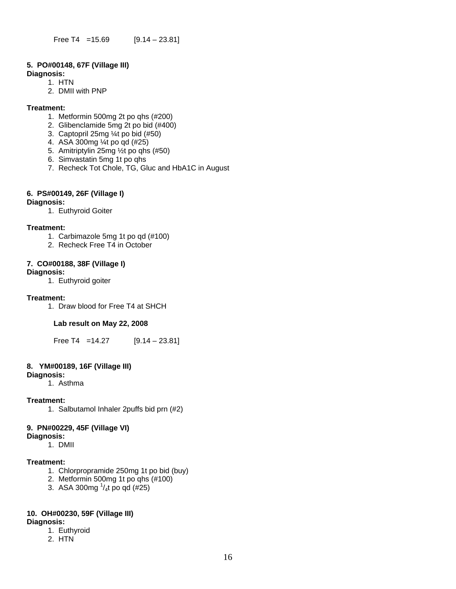#### **5. PO#00148, 67F (Village III)**

**Diagnosis:** 

- 1. HTN 2. DMII with PNP
- 

#### **Treatment:**

- 1. Metformin 500mg 2t po qhs (#200)
- 2. Glibenclamide 5mg 2t po bid (#400)
- 3. Captopril 25mg ¼t po bid (#50)
- 4. ASA 300mg ¼t po qd (#25)
- 5. Amitriptylin 25mg ½t po qhs (#50)
- 6. Simvastatin 5mg 1t po qhs
- 7. Recheck Tot Chole, TG, Gluc and HbA1C in August

#### **6. PS#00149, 26F (Village I)**

#### **Diagnosis:**

1. Euthyroid Goiter

#### **Treatment:**

- 1. Carbimazole 5mg 1t po qd (#100)
- 2. Recheck Free T4 in October

#### **7. CO#00188, 38F (Village I)**

#### **Diagnosis:**

1. Euthyroid goiter

#### **Treatment:**

1. Draw blood for Free T4 at SHCH

#### **Lab result on May 22, 2008**

Free T4 =  $14.27$  [9.14 – 23.81]

#### **8. YM#00189, 16F (Village III)**

#### **Diagnosis:**

1. Asthma

#### **Treatment:**

1. Salbutamol Inhaler 2puffs bid prn (#2)

#### **9. PN#00229, 45F (Village VI)**

#### **Diagnosis:**

1. DMII

#### **Treatment:**

- 1. Chlorpropramide 250mg 1t po bid (buy)
- 2. Metformin 500mg 1t po qhs (#100)
- 3. ASA 300mg  $\frac{1}{4}$ t po qd (#25)

## **10. OH#00230, 59F (Village III)**

#### **Diagnosis:**

- 1. Euthyroid
- 2. HTN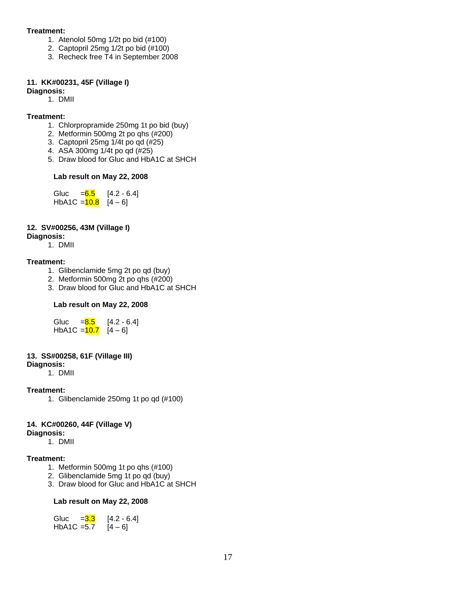#### **Treatment:**

- 1. Atenolol 50mg 1/2t po bid (#100)
- 2. Captopril 25mg 1/2t po bid (#100)
- 3. Recheck free T4 in September 2008

#### **11. KK#00231, 45F (Village I)**

#### **Diagnosis:**

1. DMII

#### **Treatment:**

- 1. Chlorpropramide 250mg 1t po bid (buy)
- 2. Metformin 500mg 2t po qhs (#200)
- 3. Captopril 25mg 1/4t po qd (#25)
- 4. ASA 300mg 1/4t po qd (#25)
- 5. Draw blood for Gluc and HbA1C at SHCH

#### **Lab result on May 22, 2008**

Gluc  $= 6.5$  [4.2 - 6.4] HbA1C =  $\frac{10.8}{4}$  [4 – 6]

#### **12. SV#00256, 43M (Village I)**

#### **Diagnosis:**

1. DMII

#### **Treatment:**

- 1. Glibenclamide 5mg 2t po qd (buy)
- 2. Metformin 500mg 2t po qhs (#200)
- 3. Draw blood for Gluc and HbA1C at SHCH

#### **Lab result on May 22, 2008**

| Gluc           | $= 8.5$ | $[4.2 - 6.4]$ |
|----------------|---------|---------------|
| HbA1C $=$ 10.7 |         | $[4 - 6]$     |

#### **13. SS#00258, 61F (Village III)**

#### **Diagnosis:**

1. DMII

#### **Treatment:**

1. Glibenclamide 250mg 1t po qd (#100)

#### **14. KC#00260, 44F (Village V)**

#### **Diagnosis:**

1. DMII

#### **Treatment:**

- 1. Metformin 500mg 1t po qhs (#100)
- 2. Glibenclamide 5mg 1t po qd (buy)
- 3. Draw blood for Gluc and HbA1C at SHCH

#### **Lab result on May 22, 2008**

| Gluc          | $= 3.3$ | $[4.2 - 6.4]$ |
|---------------|---------|---------------|
| $HbA1C = 5.7$ |         | $[4 - 6]$     |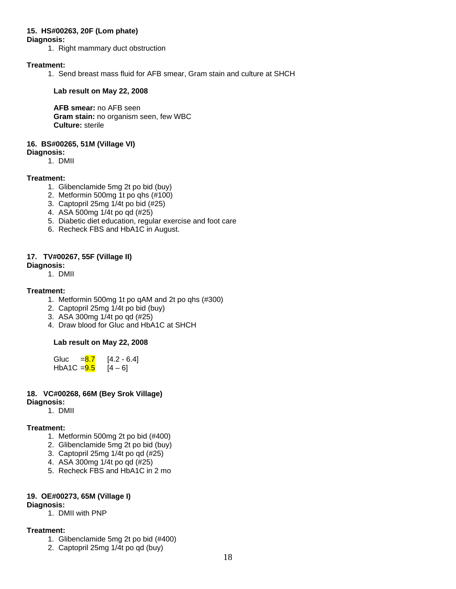#### **15. HS#00263, 20F (Lom phate)**

#### **Diagnosis:**

1. Right mammary duct obstruction

#### **Treatment:**

1. Send breast mass fluid for AFB smear, Gram stain and culture at SHCH

#### **Lab result on May 22, 2008**

 **AFB smear:** no AFB seen  **Gram stain:** no organism seen, few WBC  **Culture:** sterile

#### **16. BS#00265, 51M (Village VI)**

#### **Diagnosis:**

1. DMII

#### **Treatment:**

- 1. Glibenclamide 5mg 2t po bid (buy)
- 2. Metformin 500mg 1t po qhs (#100)
- 3. Captopril 25mg 1/4t po bid (#25)
- 4. ASA 500mg 1/4t po qd (#25)
- 5. Diabetic diet education, regular exercise and foot care
- 6. Recheck FBS and HbA1C in August.

#### **17. TV#00267, 55F (Village II)**

#### **Diagnosis:**

1. DMII

#### **Treatment:**

- 1. Metformin 500mg 1t po qAM and 2t po qhs (#300)
- 2. Captopril 25mg 1/4t po bid (buy)
- 3. ASA 300mg 1/4t po qd (#25)
- 4. Draw blood for Gluc and HbA1C at SHCH

#### **Lab result on May 22, 2008**

Gluc  $= 8.7$  [4.2 - 6.4] HbA1C =  $\frac{9.5}{9.6}$  [4 – 6]

#### **18. VC#00268, 66M (Bey Srok Village)**

#### **Diagnosis:**

1. DMII

#### **Treatment:**

- 1. Metformin 500mg 2t po bid (#400)
- 2. Glibenclamide 5mg 2t po bid (buy)
- 3. Captopril 25mg 1/4t po qd (#25)
- 4. ASA 300mg 1/4t po qd (#25)
- 5. Recheck FBS and HbA1C in 2 mo

#### **19. OE#00273, 65M (Village I)**

#### **Diagnosis:**

1. DMII with PNP

#### **Treatment:**

- 1. Glibenclamide 5mg 2t po bid (#400)
- 2. Captopril 25mg 1/4t po qd (buy)